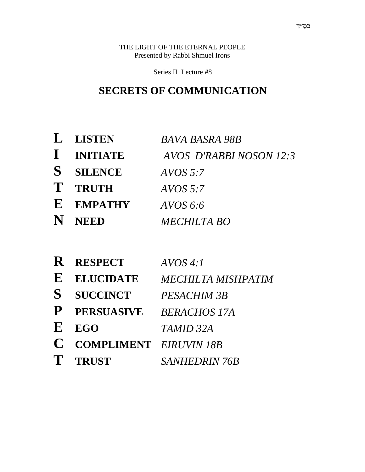THE LIGHT OF THE ETERNAL PEOPLE Presented by Rabbi Shmuel Irons

Series II Lecture #8

### **SECRETS OF COMMUNICATION**

| L LISTEN         | <b>BAVA BASRA 98B</b>          |
|------------------|--------------------------------|
| I INITIATE       | <b>AVOS D'RABBI NOSON 12:3</b> |
| <b>S</b> SILENCE | AVOS 5:7                       |
| T TRUTH          | AVOS 5:7                       |
| E EMPATHY        | AVOS 6:6                       |
| N NEED           | MECHILTA BO                    |

|         | R RESPECT                       | AVOS 4:1                  |
|---------|---------------------------------|---------------------------|
| $\bf E$ | <b>ELUCIDATE</b>                | <b>MECHILTA MISHPATIM</b> |
|         | <b>S</b> SUCCINCT               | PESACHIM 3B               |
|         | P PERSUASIVE BERACHOS 17A       |                           |
| $\bf E$ | EGO                             | TAMID 32A                 |
|         | <b>C</b> COMPLIMENT EIRUVIN 18B |                           |
|         | T TRUST                         | <b>SANHEDRIN 76B</b>      |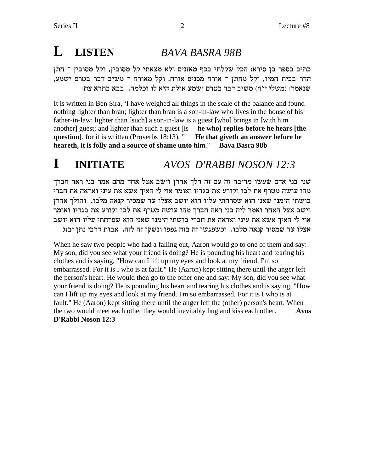### $\bf{L}$ **LISTEN** BAVA BASRA 98B

כתיב בספר בן סירא: הכל שקלתי בכף מאזנים ולא מצאתי קל מסובין, וקל מסובין ־ חתן הדר בבית חמיו, וקל מחתן ־ אורח מכניס אורח, וקל מאורח ־ משיב דבר בטרם ישמע, שנאמר: (משלי י״ח) משיב דבר בטרם ישמע אולת היא לו וכלמה. בבא בתרא צח:

It is written in Ben Sira, 'I have weighed all things in the scale of the balance and found nothing lighter than bran; lighter than bran is a son-in-law who lives in the house of his father-in-law; lighter than [such] a son-in-law is a guest [who] brings in [with him another guest; and lighter than such a guest [is **he who] replies before he hears [the question**, for it is written (Proverbs 18:13), " He that give th an answer before he heareth, it is folly and a source of shame unto him." **Bava Basra 98b** 

### $\mathbf I$ **INITIATE** AVOS D'RABBI NOSON 12:3

שני בני אדם שעשו מריבה זה עם זה הלך אהרן וישב אצל אחד מהם אמר בני ראה חברך מהו עושה מטרף את לבו וקורע את בגדיו ואומר אוי לי האיך אשא את עיני ואראה את חברי בושתי הימנו שאני הוא שסרחתי עליו הוא יושב אצלו עד שמסיר קנאה מלבו. והולך אהרז וישב אצל האחר ואמר ליה בני ראה חברך מהו עושה מטרף את לבו וקורע את בגדיו ואומר אוי לי האיך אשא את עיני ואראה את חברי בושתי הימנו שאני הוא שסרחתי עליו הוא יושב אצלו עד שמסיר קנאה מלבו. וכשפגשו זה בזה גפפו ונשקו זה לזה. אבות דרבי נתן יב:ג

When he saw two people who had a falling out, Aaron would go to one of them and say: My son, did you see what your friend is doing? He is pounding his heart and tearing his clothes and is saying, "How can I lift up my eyes and look at my friend. I'm so embarrassed. For it is I who is at fault." He (Aaron) kept sitting there until the anger left the person's heart. He would then go to the other one and say: My son, did you see what your friend is doing? He is pounding his heart and tearing his clothes and is saying, "How can I lift up my eyes and look at my friend. I'm so embarrassed. For it is I who is at fault." He (Aaron) kept sitting there until the anger left the (other) person's heart. When the two would meet each other they would inevitably hug and kiss each other. **Avos** D'Rabbi Noson 12:3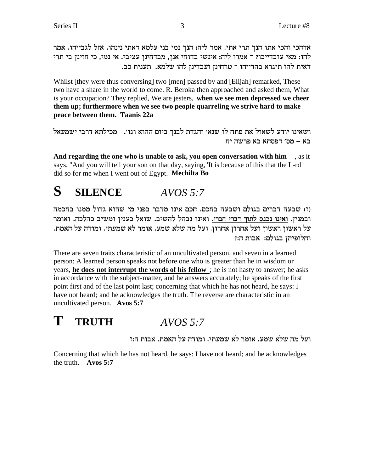אדהכי והכי אתו הנך תרי אתי. אמר ליה: הנך נמי בני עלמא דאתי נינהו. אזל לגבייהו. אמר להו: מאי עובדייכו? ־ אמרו ליה: אינשי בדוחי אנן, מבדחינן עציבי. אי נמי, כי חזינן בי תרי דאית להו תיגרא בהדייהו ־ טרחינן ועבדינן להו שלמא. תענית כב.

Whilst [they were thus conversing] two [men] passed by and [Elijah] remarked, These two have a share in the world to come. R. Beroka then approached and asked them, What is your occupation? They replied, We are jesters, when we see men depressed we cheer them up; furthermore when we see two people quarreling we strive hard to make peace between them. Taanis 22a

```
ושאינו יודע לשאול את פתח לו שנא׳ והגדת לבנך ביום ההוא וגו׳. מכילתא דרבי ישמעאל
                                       בא – מס' דפסחא בא פרשה יח
```
And regarding the one who is unable to ask, you open conversation with him sait says, "And you will tell your son on that day, saying, 'It is because of this that the L-rd did so for me when I went out of Egypt. Mechilta Bo

#### S **SILENCE**  $AVOS 5:7$

וז) שבעה דברים בגולם ושבעה בחכם. חכם אינו מדבר בפני מי שהוא גדול ממנו בחכמה ובמנין. ואינו נכנס לתוך דברי חברו. ואינו נבהל להשיב. שואל כענין ומשיב כהלכה. ואומר על ראשון ראשון ועל אחרון אחרון. ועל מה שלא שמע. אומר לא שמעתי. ומודה על האמת. וחלופיהן בגולם: אבות ה:ז

There are seven traits characteristic of an uncultivated person, and seven in a learned person: A learned person speaks not before one who is greater than he in wisdom or years, he does not interrupt the words of his fellow; he is not hasty to answer; he asks in accordance with the subject-matter, and he answers accurately; he speaks of the first point first and of the last point last; concerning that which he has not heard, he says: I have not heard; and he acknowledges the truth. The reverse are characteristic in an uncultivated person. Avos 5:7

### T **TRUTH**  $AVOS 5.7$

ועל מה שלא שמע. אומר לא שמעתי. ומודה על האמת. אבות ה:ז

Concerning that which he has not heard, he says: I have not heard; and he acknowledges the truth.  $\angle$  Avos 5:7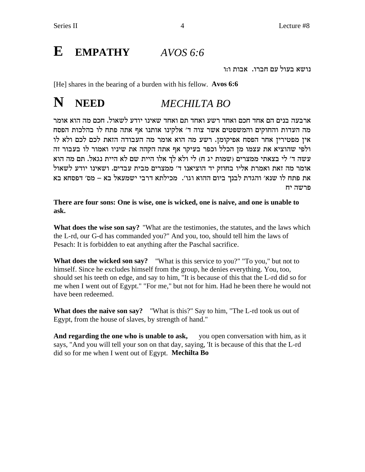### E **EMPATHY**  $AVOS 6:6$

נושא בעול עם חברו. אבות ו:ו

[He] shares in the bearing of a burden with his fellow. Avos 6:6

#### N **NEED MECHILTA BO**

ארבעה בנים הם אחד חכם ואחד רשע ואחד תם ואחד שאינו יודע לשאול. חכם מה הוא אומר מה העדות והחוקים והמשפטים אשר צוה ד׳ אלקינו אותנו אף אתה פתח לו בהלכות הפסח אין מפטירין אחר הפסח אפיקומן. רשע מה הוא אומר מה העבודה הזאת לכם לכם ולא לו ולפי שהוציא את עצמו מן הכלל וכפר בעיקר אף אתה הקהה את שיניו ואמור לו בעבור זה עשה ד' לי בצאתי ממצרים (שמות יג ח) לי ולא לך אלו היית שם לא היית נגאל. תם מה הוא אומר מה זאת ואמרת אליו בחוזק יד הוציאנו ד׳ ממצרים מבית עבדים. ושאינו יודע לשאול את פתח לו שנא׳ והגדת לבנך ביום ההוא וגו׳. מכילתא דרבי ישמעאל בא – מס׳ דפסחא בא פרשה יח

There are four sons: One is wise, one is wicked, one is naive, and one is unable to ask.

What does the wise son say? "What are the testimonies, the statutes, and the laws which the L-rd, our G-d has commanded you?" And you, too, should tell him the laws of Pesach: It is forbidden to eat anything after the Paschal sacrifice.

**What does the wicked son say?** "What is this service to you?" "To you," but not to himself. Since he excludes himself from the group, he denies everything. You, too, should set his teeth on edge, and say to him, "It is because of this that the L-rd did so for me when I went out of Egypt." "For me," but not for him. Had he been there he would not have been redeemed.

**What does the naive son say?** "What is this?" Say to him, "The L-rd took us out of Egypt, from the house of slaves, by strength of hand."

And regarding the one who is unable to ask, you open conversation with him, as it says, "And you will tell your son on that day, saying, 'It is because of this that the L-rd did so for me when I went out of Egypt. Mechilta Bo

 $\overline{4}$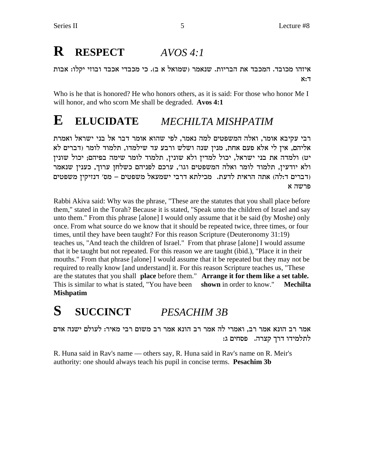# **R RESPECT** *AVOS 4:1*

איזהו מכובד. המכבד את הבריות. שנאמר (שמואל א ב). כי מכבדי אכבד ובוזי יקלו: אבות  $x:7$ 

Who is he that is honored? He who honors others, as it is said: For those who honor Me I will honor, and who scorn Me shall be degraded. **Avos 4:1**

### **E ELUCIDATE** *MECHILTA MISHPATIM*

רבי עקיבא אומר, ואלה המשפטים למה נאמר, לפי שהוא אומר דבר אל בני ישראל ואמרת אליהם, אין לי אלא פעם אחת, מנין שנה ושלש ורבע עד שילמדו, תלמוד לומר (דברים לא יט) ולמדה את בני ישראל, יכול למדין ולא שונין, תלמוד לומר שימה בפיהם; יכול שונין ולא יודעין, תלמוד לומר ואלה המשפטים וגו׳, ערכם לפניהם כשלחן ערוך, כענין שנאמר דברים ד:לה) אתה הראית לדעת. מכילתא דרבי ישמעאל משפטים – מס׳ דנזיקין משפטים  $\kappa$ מרשה

Rabbi Akiva said: Why was the phrase, "These are the statutes that you shall place before them," stated in the Torah? Because it is stated, "Speak unto the children of Israel and say unto them." From this phrase [alone] I would only assume that it be said (by Moshe) only once. From what source do we know that it should be repeated twice, three times, or four times, until they have been taught? For this reason Scripture (Deuteronomy 31:19) teaches us, "And teach the children of Israel." From that phrase [alone] I would assume that it be taught but not repeated. For this reason we are taught (ibid.), "Place it in their mouths." From that phrase [alone] I would assume that it be repeated but they may not be required to really know [and understand] it. For this reason Scripture teaches us, "These are the statutes that you shall **place** before them." **Arrange it for them like a set table.** This is similar to what is stated, "You have been **shown** in order to know." **Mechilta Mishpatim**

**S SUCCINCT** *PESACHIM 3B*

אמר רב הונא אמר רב, ואמרי לה אמר רב הונא אמר רב משום רבי מאיר: לעולם ישנה אדם לתלמידו דרך קצרה. פסחים ג:

R. Huna said in Rav's name — others say, R. Huna said in Rav's name on R. Meir's authority: one should always teach his pupil in concise terms. **Pesachim 3b**